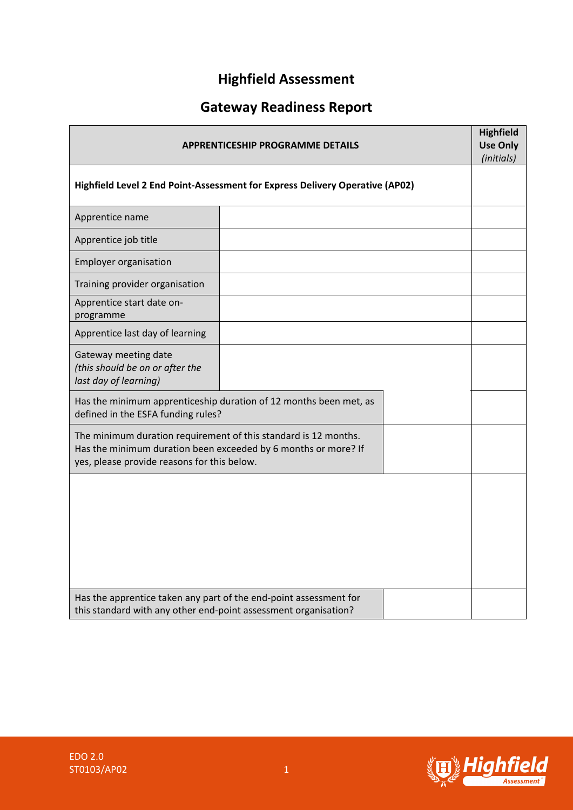# **Highfield Assessment**

# **Gateway Readiness Report**

| <b>APPRENTICESHIP PROGRAMME DETAILS</b>                                                                                                                                          |  |  |  |  |
|----------------------------------------------------------------------------------------------------------------------------------------------------------------------------------|--|--|--|--|
| Highfield Level 2 End Point-Assessment for Express Delivery Operative (AP02)                                                                                                     |  |  |  |  |
| Apprentice name                                                                                                                                                                  |  |  |  |  |
| Apprentice job title                                                                                                                                                             |  |  |  |  |
| <b>Employer organisation</b>                                                                                                                                                     |  |  |  |  |
| Training provider organisation                                                                                                                                                   |  |  |  |  |
| Apprentice start date on-<br>programme                                                                                                                                           |  |  |  |  |
| Apprentice last day of learning                                                                                                                                                  |  |  |  |  |
| Gateway meeting date<br>(this should be on or after the<br>last day of learning)                                                                                                 |  |  |  |  |
| Has the minimum apprenticeship duration of 12 months been met, as<br>defined in the ESFA funding rules?                                                                          |  |  |  |  |
| The minimum duration requirement of this standard is 12 months.<br>Has the minimum duration been exceeded by 6 months or more? If<br>yes, please provide reasons for this below. |  |  |  |  |
|                                                                                                                                                                                  |  |  |  |  |
| Has the apprentice taken any part of the end-point assessment for<br>this standard with any other end-point assessment organisation?                                             |  |  |  |  |

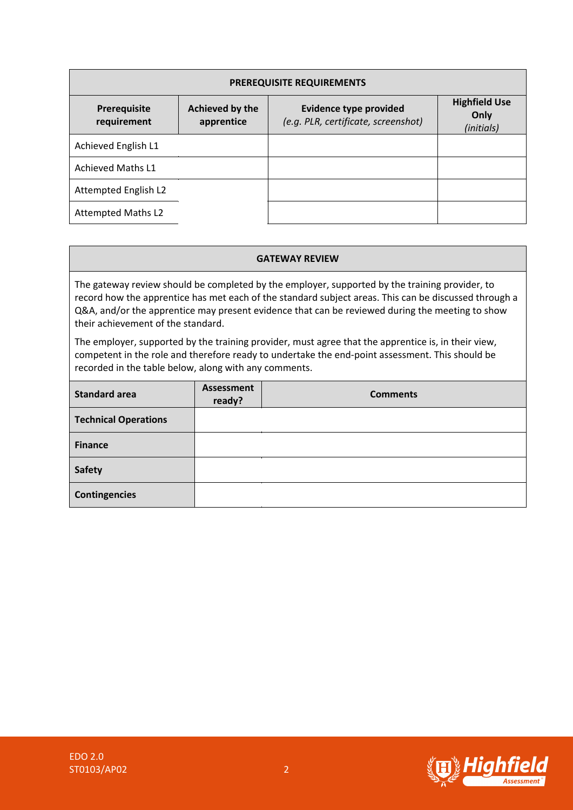| <b>PREREQUISITE REQUIREMENTS</b> |                               |                                                                      |                                            |  |  |  |  |
|----------------------------------|-------------------------------|----------------------------------------------------------------------|--------------------------------------------|--|--|--|--|
| Prerequisite<br>requirement      | Achieved by the<br>apprentice | <b>Evidence type provided</b><br>(e.g. PLR, certificate, screenshot) | <b>Highfield Use</b><br>Only<br>(initials) |  |  |  |  |
| Achieved English L1              |                               |                                                                      |                                            |  |  |  |  |
| <b>Achieved Maths L1</b>         |                               |                                                                      |                                            |  |  |  |  |
| Attempted English L2             |                               |                                                                      |                                            |  |  |  |  |
| <b>Attempted Maths L2</b>        |                               |                                                                      |                                            |  |  |  |  |

#### **GATEWAY REVIEW**

The gateway review should be completed by the employer, supported by the training provider, to record how the apprentice has met each of the standard subject areas. This can be discussed through a Q&A, and/or the apprentice may present evidence that can be reviewed during the meeting to show their achievement of the standard.

The employer, supported by the training provider, must agree that the apprentice is, in their view, competent in the role and therefore ready to undertake the end-point assessment. This should be recorded in the table below, along with any comments.

| <b>Standard area</b>        | <b>Assessment</b><br>ready? | <b>Comments</b> |
|-----------------------------|-----------------------------|-----------------|
| <b>Technical Operations</b> |                             |                 |
| <b>Finance</b>              |                             |                 |
| <b>Safety</b>               |                             |                 |
| <b>Contingencies</b>        |                             |                 |